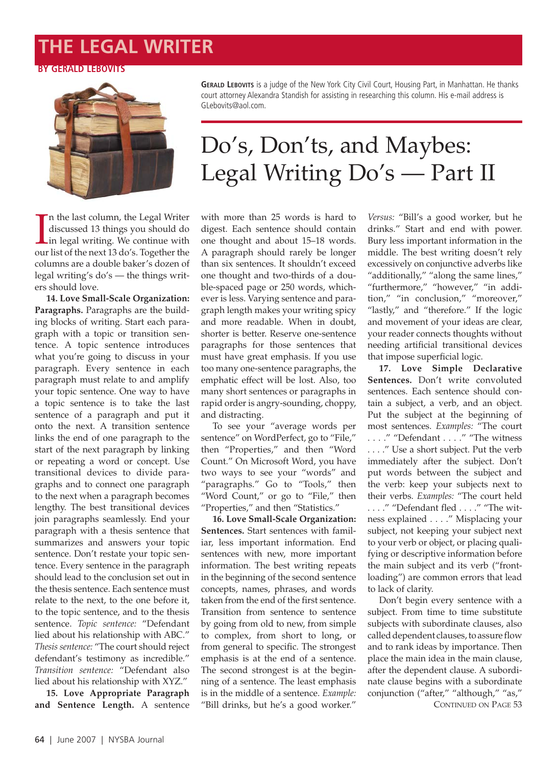## **THE LEGAL WRITER**

#### **BY GERALD LEBOVITS**



In the last column, the Legal Writer<br>discussed 13 things you should do<br>in legal writing. We continue with<br>our list of the next 13 do's. Together the n the last column, the Legal Writer discussed 13 things you should do in legal writing. We continue with columns are a double baker's dozen of legal writing's do's — the things writers should love.

**14. Love Small-Scale Organization: Paragraphs.** Paragraphs are the building blocks of writing. Start each paragraph with a topic or transition sentence. A topic sentence introduces what you're going to discuss in your paragraph. Every sentence in each paragraph must relate to and amplify your topic sentence. One way to have a topic sentence is to take the last sentence of a paragraph and put it onto the next. A transition sentence links the end of one paragraph to the start of the next paragraph by linking or repeating a word or concept. Use transitional devices to divide paragraphs and to connect one paragraph to the next when a paragraph becomes lengthy. The best transitional devices join paragraphs seamlessly. End your paragraph with a thesis sentence that summarizes and answers your topic sentence. Don't restate your topic sentence. Every sentence in the paragraph should lead to the conclusion set out in the thesis sentence. Each sentence must relate to the next, to the one before it, to the topic sentence, and to the thesis sentence. *Topic sentence:* "Defendant lied about his relationship with ABC." *Thesis sentence:* "The court should reject defendant's testimony as incredible." *Transition sentence:* "Defendant also lied about his relationship with XYZ."

**15. Love Appropriate Paragraph and Sentence Length.** A sentence **GERALD LEBOVITS** is a judge of the New York City Civil Court, Housing Part, in Manhattan. He thanks court attorney Alexandra Standish for assisting in researching this column. His e-mail address is GLebovits@aol.com.

# Do's, Don'ts, and Maybes: Legal Writing Do's — Part II

with more than 25 words is hard to digest. Each sentence should contain one thought and about 15–18 words. A paragraph should rarely be longer than six sentences. It shouldn't exceed one thought and two-thirds of a double-spaced page or 250 words, whichever is less. Varying sentence and paragraph length makes your writing spicy and more readable. When in doubt, shorter is better. Reserve one-sentence paragraphs for those sentences that must have great emphasis. If you use too many one-sentence paragraphs, the emphatic effect will be lost. Also, too many short sentences or paragraphs in rapid order is angry-sounding, choppy, and distracting.

To see your "average words per sentence" on WordPerfect, go to "File," then "Properties," and then "Word Count." On Microsoft Word, you have two ways to see your "words" and "paragraphs." Go to "Tools," then "Word Count," or go to "File," then "Properties," and then "Statistics."

**16. Love Small-Scale Organization: Sentences.** Start sentences with familiar, less important information. End sentences with new, more important information. The best writing repeats in the beginning of the second sentence concepts, names, phrases, and words taken from the end of the first sentence. Transition from sentence to sentence by going from old to new, from simple to complex, from short to long, or from general to specific. The strongest emphasis is at the end of a sentence. The second strongest is at the beginning of a sentence. The least emphasis is in the middle of a sentence. *Example:*  "Bill drinks, but he's a good worker."

*Versus:* "Bill's a good worker, but he drinks." Start and end with power. Bury less important information in the middle. The best writing doesn't rely excessively on conjunctive adverbs like "additionally," "along the same lines," "furthermore," "however," "in addition," "in conclusion," "moreover," "lastly," and "therefore." If the logic and movement of your ideas are clear, your reader connects thoughts without needing artificial transitional devices that impose superficial logic.

**17. Love Simple Declarative Sentences.** Don't write convoluted sentences. Each sentence should contain a subject, a verb, and an object. Put the subject at the beginning of most sentences. *Examples:* "The court . . . ." "Defendant . . . ." "The witness . . . ." Use a short subject. Put the verb immediately after the subject. Don't put words between the subject and the verb: keep your subjects next to their verbs. *Examples:* "The court held . . . ." "Defendant fled . . . ." "The witness explained . . . ." Misplacing your subject, not keeping your subject next to your verb or object, or placing qualifying or descriptive information before the main subject and its verb ("frontloading") are common errors that lead to lack of clarity.

CONTINUED ON PAGE 53 Don't begin every sentence with a subject. From time to time substitute subjects with subordinate clauses, also called dependent clauses, to assure flow and to rank ideas by importance. Then place the main idea in the main clause, after the dependent clause. A subordinate clause begins with a subordinate conjunction ("after," "although," "as,"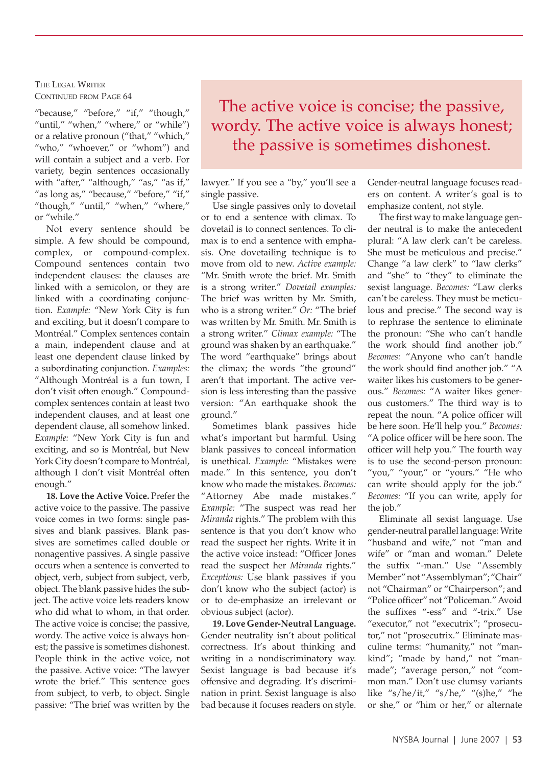#### THE LEGAL WRITER CONTINUED FROM PAGE 64

"because," "before," "if," "though," "until," "when," "where," or "while") or a relative pronoun ("that," "which," "who," "whoever," or "whom") and will contain a subject and a verb. For variety, begin sentences occasionally with "after," "although," "as," "as if," "as long as," "because," "before," "if," "though," "until," "when," "where," or "while."

Not every sentence should be simple. A few should be compound, complex, or compound-complex. Compound sentences contain two independent clauses: the clauses are linked with a semicolon, or they are linked with a coordinating conjunction. *Example:* "New York City is fun and exciting, but it doesn't compare to Montréal." Complex sentences contain a main, independent clause and at least one dependent clause linked by a subordinating conjunction. *Examples:* "Although Montréal is a fun town, I don't visit often enough." Compoundcomplex sentences contain at least two independent clauses, and at least one dependent clause, all somehow linked. *Example:* "New York City is fun and exciting, and so is Montréal, but New York City doesn't compare to Montréal, although I don't visit Montréal often enough."

**18. Love the Active Voice.** Prefer the active voice to the passive. The passive voice comes in two forms: single passives and blank passives. Blank passives are sometimes called double or nonagentive passives. A single passive occurs when a sentence is converted to object, verb, subject from subject, verb, object. The blank passive hides the subject. The active voice lets readers know who did what to whom, in that order. The active voice is concise; the passive, wordy. The active voice is always honest; the passive is sometimes dishonest. People think in the active voice, not the passive. Active voice: "The lawyer wrote the brief." This sentence goes from subject, to verb, to object. Single passive: "The brief was written by the

### The active voice is concise; the passive, wordy. The active voice is always honest; the passive is sometimes dishonest.

lawyer." If you see a "by," you'll see a single passive.

Use single passives only to dovetail or to end a sentence with climax. To dovetail is to connect sentences. To climax is to end a sentence with emphasis. One dovetailing technique is to move from old to new. *Active example:*  "Mr. Smith wrote the brief. Mr. Smith is a strong writer." *Dovetail examples:* The brief was written by Mr. Smith, who is a strong writer." *Or:* "The brief was written by Mr. Smith. Mr. Smith is a strong writer." *Climax example:* "The ground was shaken by an earthquake." The word "earthquake" brings about the climax; the words "the ground" aren't that important. The active version is less interesting than the passive version: "An earthquake shook the ground."

Sometimes blank passives hide what's important but harmful. Using blank passives to conceal information is unethical. *Example:* "Mistakes were made." In this sentence, you don't know who made the mistakes. *Becomes:* "Attorney Abe made mistakes." *Example:* "The suspect was read her *Miranda* rights." The problem with this sentence is that you don't know who read the suspect her rights. Write it in the active voice instead: "Officer Jones read the suspect her *Miranda* rights." *Exceptions:* Use blank passives if you don't know who the subject (actor) is or to de-emphasize an irrelevant or obvious subject (actor).

**19. Love Gender-Neutral Language.**  Gender neutrality isn't about political correctness. It's about thinking and writing in a nondiscriminatory way. Sexist language is bad because it's offensive and degrading. It's discrimination in print. Sexist language is also bad because it focuses readers on style. Gender-neutral language focuses readers on content. A writer's goal is to emphasize content, not style.

The first way to make language gender neutral is to make the antecedent plural: "A law clerk can't be careless. She must be meticulous and precise." Change "a law clerk" to "law clerks" and "she" to "they" to eliminate the sexist language. *Becomes:* "Law clerks can't be careless. They must be meticulous and precise." The second way is to rephrase the sentence to eliminate the pronoun: "She who can't handle the work should find another job." *Becomes:* "Anyone who can't handle the work should find another job." "A waiter likes his customers to be generous." *Becomes:* "A waiter likes generous customers." The third way is to repeat the noun. "A police officer will be here soon. He'll help you." *Becomes:* "A police officer will be here soon. The officer will help you." The fourth way is to use the second-person pronoun: "you," "your," or "yours." "He who can write should apply for the job." *Becomes:* "If you can write, apply for the job."

Eliminate all sexist language. Use gender-neutral parallel language: Write "husband and wife," not "man and wife" or "man and woman." Delete the suffix "-man." Use "Assembly Member" not "Assemblyman"; "Chair" not "Chairman" or "Chairperson"; and "Police officer" not "Policeman." Avoid the suffixes "-ess" and "-trix." Use "executor," not "executrix"; "prosecutor," not "prosecutrix." Eliminate masculine terms: "humanity," not "mankind"; "made by hand," not "manmade"; "average person," not "common man." Don't use clumsy variants like "s/he/it," "s/he," "(s)he," "he or she," or "him or her," or alternate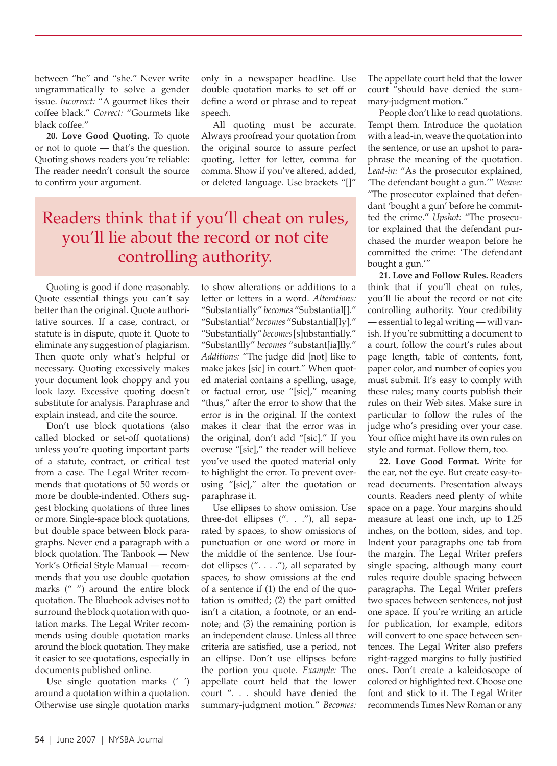between "he" and "she." Never write ungrammatically to solve a gender issue. *Incorrect:* "A gourmet likes their coffee black." *Correct:* "Gourmets like black coffee."

**20. Love Good Quoting.** To quote or not to quote — that's the question. Quoting shows readers you're reliable: The reader needn't consult the source to confirm your argument.

only in a newspaper headline. Use double quotation marks to set off or define a word or phrase and to repeat speech.

All quoting must be accurate. Always proofread your quotation from the original source to assure perfect quoting, letter for letter, comma for comma. Show if you've altered, added, or deleted language. Use brackets "[]"

## Readers think that if you'll cheat on rules, you'll lie about the record or not cite controlling authority.

Quoting is good if done reasonably. Quote essential things you can't say better than the original. Quote authoritative sources. If a case, contract, or statute is in dispute, quote it. Quote to eliminate any suggestion of plagiarism. Then quote only what's helpful or necessary. Quoting excessively makes your document look choppy and you look lazy. Excessive quoting doesn't substitute for analysis. Paraphrase and explain instead, and cite the source.

Don't use block quotations (also called blocked or set-off quotations) unless you're quoting important parts of a statute, contract, or critical test from a case. The Legal Writer recommends that quotations of 50 words or more be double-indented. Others suggest blocking quotations of three lines or more. Single-space block quotations, but double space between block paragraphs. Never end a paragraph with a block quotation. The Tanbook — New York's Official Style Manual — recommends that you use double quotation marks (" ") around the entire block quotation. The Bluebook advises not to surround the block quotation with quotation marks. The Legal Writer recommends using double quotation marks around the block quotation. They make it easier to see quotations, especially in documents published online.

Use single quotation marks (' ') around a quotation within a quotation. Otherwise use single quotation marks

to show alterations or additions to a letter or letters in a word. *Alterations:*  "Substantially" *becomes* "Substantial[]." "Substantial" *becomes* "Substantial[ly]." "Substantially" *becomes* [s]ubstantially." "Substantlly" *becomes* "substant[ia]lly." *Additions:* "The judge did [not] like to make jakes [sic] in court." When quoted material contains a spelling, usage, or factual error, use "[sic]," meaning "thus," after the error to show that the error is in the original. If the context makes it clear that the error was in the original, don't add "[sic]." If you overuse "[sic]," the reader will believe you've used the quoted material only to highlight the error. To prevent overusing "[sic]," alter the quotation or paraphrase it.

Use ellipses to show omission. Use three-dot ellipses (". . ."), all separated by spaces, to show omissions of punctuation or one word or more in the middle of the sentence. Use fourdot ellipses  $($ ".  $\ldots$   $)$ ", all separated by spaces, to show omissions at the end of a sentence if (1) the end of the quotation is omitted; (2) the part omitted isn't a citation, a footnote, or an endnote; and (3) the remaining portion is an independent clause. Unless all three criteria are satisfied, use a period, not an ellipse. Don't use ellipses before the portion you quote. *Example:* The appellate court held that the lower court ". . . should have denied the summary-judgment motion." *Becomes:*  The appellate court held that the lower court "should have denied the summary-judgment motion."

People don't like to read quotations. Tempt them. Introduce the quotation with a lead-in, weave the quotation into the sentence, or use an upshot to paraphrase the meaning of the quotation. *Lead-in:* "As the prosecutor explained, 'The defendant bought a gun.'" *Weave:*  "The prosecutor explained that defendant 'bought a gun' before he committed the crime." *Upshot:* "The prosecutor explained that the defendant purchased the murder weapon before he committed the crime: 'The defendant bought a gun.'"

**21. Love and Follow Rules.** Readers think that if you'll cheat on rules, you'll lie about the record or not cite controlling authority. Your credibility — essential to legal writing — will vanish. If you're submitting a document to a court, follow the court's rules about page length, table of contents, font, paper color, and number of copies you must submit. It's easy to comply with these rules; many courts publish their rules on their Web sites. Make sure in particular to follow the rules of the judge who's presiding over your case. Your office might have its own rules on style and format. Follow them, too.

**22. Love Good Format.** Write for the ear, not the eye. But create easy-toread documents. Presentation always counts. Readers need plenty of white space on a page. Your margins should measure at least one inch, up to 1.25 inches, on the bottom, sides, and top. Indent your paragraphs one tab from the margin. The Legal Writer prefers single spacing, although many court rules require double spacing between paragraphs. The Legal Writer prefers two spaces between sentences, not just one space. If you're writing an article for publication, for example, editors will convert to one space between sentences. The Legal Writer also prefers right-ragged margins to fully justified ones. Don't create a kaleidoscope of colored or highlighted text. Choose one font and stick to it. The Legal Writer recommends Times New Roman or any